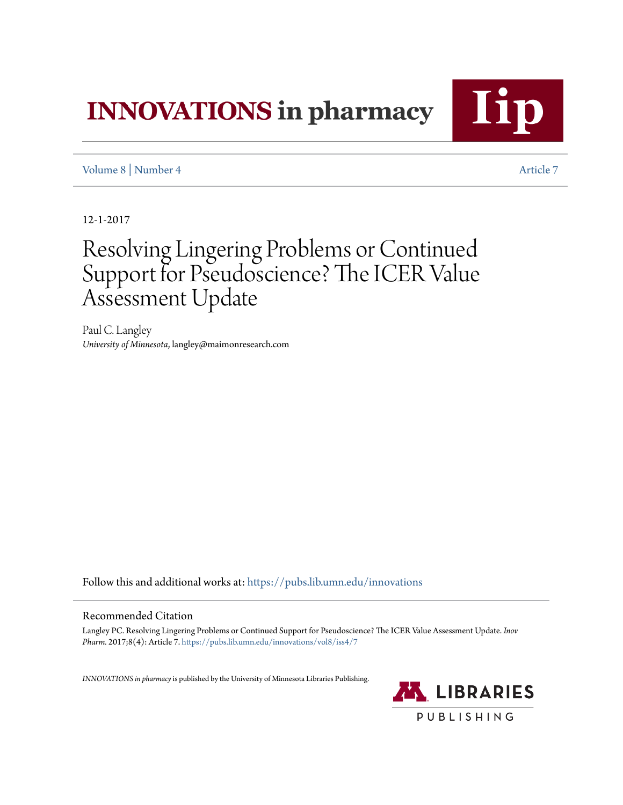# **INNOVATIONS** in pharmacy

Ii

[Volume 8](https://pubs.lib.umn.edu/innovations/vol8?utm_source=pubs.lib.umn.edu%2Finnovations%2Fvol8%2Fiss4%2F7&utm_medium=PDF&utm_campaign=PDFCoverPages) | [Number 4](https://pubs.lib.umn.edu/innovations/vol8/iss4?utm_source=pubs.lib.umn.edu%2Finnovations%2Fvol8%2Fiss4%2F7&utm_medium=PDF&utm_campaign=PDFCoverPages) [Article 7](https://pubs.lib.umn.edu/innovations/vol8/iss4/7?utm_source=pubs.lib.umn.edu%2Finnovations%2Fvol8%2Fiss4%2F7&utm_medium=PDF&utm_campaign=PDFCoverPages)

12-1-2017

## Resolving Lingering Problems or Continued Support for Pseudoscience? The ICER Value Assessment Update

Paul C. Langley *University of Minnesota*, langley@maimonresearch.com

Follow this and additional works at: [https://pubs.lib.umn.edu/innovations](https://pubs.lib.umn.edu/innovations?utm_source=pubs.lib.umn.edu%2Finnovations%2Fvol8%2Fiss4%2F7&utm_medium=PDF&utm_campaign=PDFCoverPages)

#### Recommended Citation

Langley PC. Resolving Lingering Problems or Continued Support for Pseudoscience? The ICER Value Assessment Update. *Inov Pharm.* 2017;8(4): Article 7. [https://pubs.lib.umn.edu/innovations/vol8/iss4/7](https://pubs.lib.umn.edu/innovations/vol8/iss4/7?utm_source=pubs.lib.umn.edu%2Finnovations%2Fvol8%2Fiss4%2F7&utm_medium=PDF&utm_campaign=PDFCoverPages)

*INNOVATIONS in pharmacy*is published by the University of Minnesota Libraries Publishing.

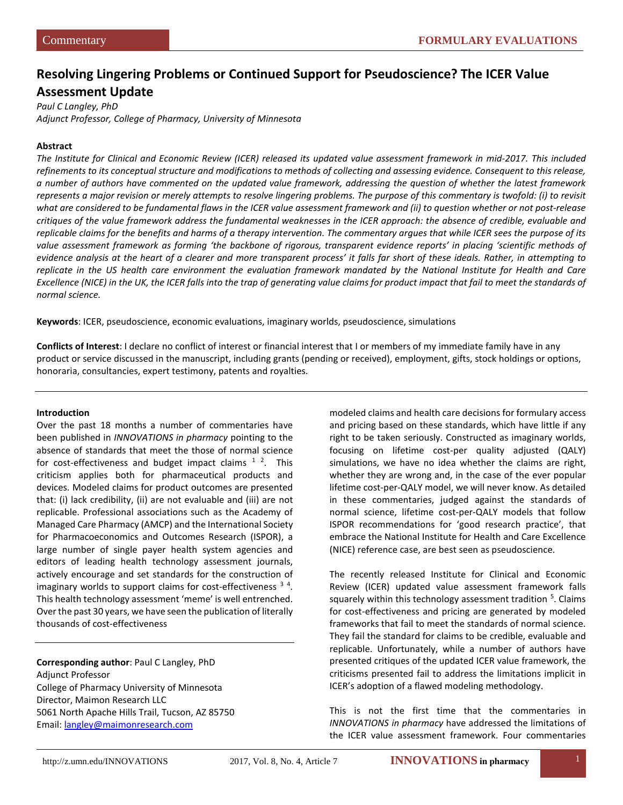### **Resolving Lingering Problems or Continued Support for Pseudoscience? The ICER Value Assessment Update**

*Paul C Langley, PhD Adjunct Professor, College of Pharmacy, University of Minnesota*

#### **Abstract**

*The Institute for Clinical and Economic Review (ICER) released its updated value assessment framework in mid-2017. This included refinements to its conceptual structure and modifications to methods of collecting and assessing evidence. Consequent to this release, a number of authors have commented on the updated value framework, addressing the question of whether the latest framework represents a major revision or merely attempts to resolve lingering problems. The purpose of this commentary is twofold: (i) to revisit what are considered to be fundamental flaws in the ICER value assessment framework and (ii) to question whether or not post-release critiques of the value framework address the fundamental weaknesses in the ICER approach: the absence of credible, evaluable and replicable claims for the benefits and harms of a therapy intervention. The commentary argues that while ICER sees the purpose of its value assessment framework as forming 'the backbone of rigorous, transparent evidence reports' in placing 'scientific methods of evidence analysis at the heart of a clearer and more transparent process' it falls far short of these ideals. Rather, in attempting to replicate in the US health care environment the evaluation framework mandated by the National Institute for Health and Care*  Excellence (NICE) in the UK, the ICER falls into the trap of generating value claims for product impact that fail to meet the standards of *normal science.* 

**Keywords**: ICER, pseudoscience, economic evaluations, imaginary worlds, pseudoscience, simulations

**Conflicts of Interest**: I declare no conflict of interest or financial interest that I or members of my immediate family have in any product or service discussed in the manuscript, including grants (pending or received), employment, gifts, stock holdings or options, honoraria, consultancies, expert testimony, patents and royalties.

#### **Introduction**

Over the past 18 months a number of commentaries have been published in *INNOVATIONS in pharmacy* pointing to the absence of standards that meet the those of normal science for cost-effectiveness and budget impact claims  $1^2$  $1^2$  $1^2$ . This criticism applies both for pharmaceutical products and devices. Modeled claims for product outcomes are presented that: (i) lack credibility, (ii) are not evaluable and (iii) are not replicable. Professional associations such as the Academy of Managed Care Pharmacy (AMCP) and the International Society for Pharmacoeconomics and Outcomes Research (ISPOR), a large number of single payer health system agencies and editors of leading health technology assessment journals, actively encourage and set standards for the construction of imaginary worlds to support claims for cost-effectiveness <sup>[3](#page-11-2)[4](#page-11-3)</sup>. This health technology assessment 'meme' is well entrenched. Over the past 30 years, we have seen the publication of literally thousands of cost-effectiveness

**Corresponding author**: Paul C Langley, PhD Adjunct Professor College of Pharmacy University of Minnesota Director, Maimon Research LLC 5061 North Apache Hills Trail, Tucson, AZ 85750 Email: [langley@maimonresearch.com](mailto:langley@maimonresearch.com)

modeled claims and health care decisions for formulary access and pricing based on these standards, which have little if any right to be taken seriously. Constructed as imaginary worlds, focusing on lifetime cost-per quality adjusted (QALY) simulations, we have no idea whether the claims are right, whether they are wrong and, in the case of the ever popular lifetime cost-per-QALY model, we will never know. As detailed in these commentaries, judged against the standards of normal science, lifetime cost-per-QALY models that follow ISPOR recommendations for 'good research practice', that embrace the National Institute for Health and Care Excellence (NICE) reference case, are best seen as pseudoscience.

The recently released Institute for Clinical and Economic Review (ICER) updated value assessment framework falls squarely within this technology assessment tradition <sup>[5](#page-11-4)</sup>. Claims for cost-effectiveness and pricing are generated by modeled frameworks that fail to meet the standards of normal science. They fail the standard for claims to be credible, evaluable and replicable. Unfortunately, while a number of authors have presented critiques of the updated ICER value framework, the criticisms presented fail to address the limitations implicit in ICER's adoption of a flawed modeling methodology.

This is not the first time that the commentaries in *INNOVATIONS in pharmacy* have addressed the limitations of the ICER value assessment framework. Four commentaries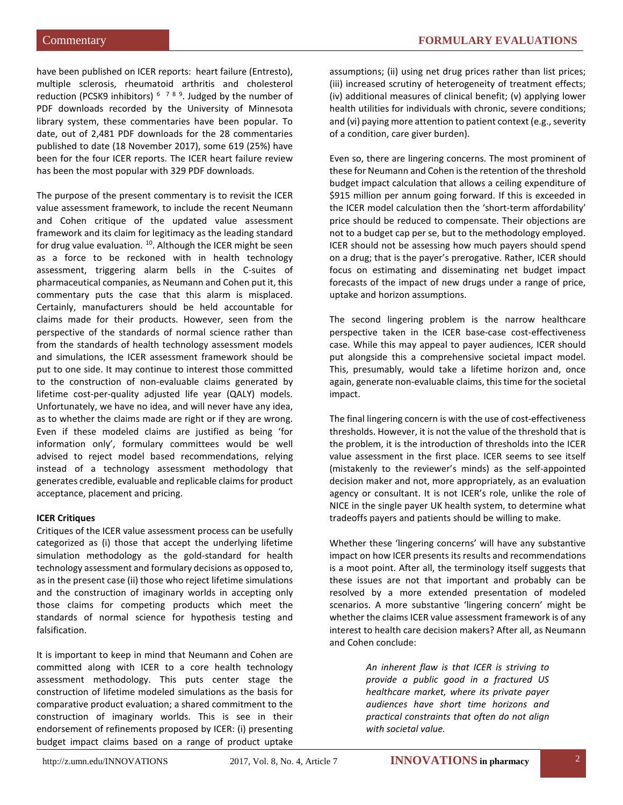have been published on ICER reports: heart failure (Entresto), multiple sclerosis, rheumatoid arthritis and cholesterol reduction (PCSK9 inhibitors) <sup>[6](#page-11-5)</sup><sup>[7](#page-11-6)[8](#page-11-7)[9](#page-11-8)</sup>. Judged by the number of PDF downloads recorded by the University of Minnesota library system, these commentaries have been popular. To date, out of 2,481 PDF downloads for the 28 commentaries published to date (18 November 2017), some 619 (25%) have been for the four ICER reports. The ICER heart failure review has been the most popular with 329 PDF downloads.

The purpose of the present commentary is to revisit the ICER value assessment framework, to include the recent Neumann and Cohen critique of the updated value assessment framework and its claim for legitimacy as the leading standard for drug value evaluation. <sup>10</sup>. Although the ICER might be seen as a force to be reckoned with in health technology assessment, triggering alarm bells in the C-suites of pharmaceutical companies, as Neumann and Cohen put it, this commentary puts the case that this alarm is misplaced. Certainly, manufacturers should be held accountable for claims made for their products. However, seen from the perspective of the standards of normal science rather than from the standards of health technology assessment models and simulations, the ICER assessment framework should be put to one side. It may continue to interest those committed to the construction of non-evaluable claims generated by lifetime cost-per-quality adjusted life year (QALY) models. Unfortunately, we have no idea, and will never have any idea, as to whether the claims made are right or if they are wrong. Even if these modeled claims are justified as being 'for information only', formulary committees would be well advised to reject model based recommendations, relying instead of a technology assessment methodology that generates credible, evaluable and replicable claims for product acceptance, placement and pricing.

#### **ICER Critiques**

Critiques of the ICER value assessment process can be usefully categorized as (i) those that accept the underlying lifetime simulation methodology as the gold-standard for health technology assessment and formulary decisions as opposed to, as in the present case (ii) those who reject lifetime simulations and the construction of imaginary worlds in accepting only those claims for competing products which meet the standards of normal science for hypothesis testing and falsification.

It is important to keep in mind that Neumann and Cohen are committed along with ICER to a core health technology assessment methodology. This puts center stage the construction of lifetime modeled simulations as the basis for comparative product evaluation; a shared commitment to the construction of imaginary worlds. This is see in their endorsement of refinements proposed by ICER: (i) presenting budget impact claims based on a range of product uptake assumptions; (ii) using net drug prices rather than list prices; (iii) increased scrutiny of heterogeneity of treatment effects; (iv) additional measures of clinical benefit; (v) applying lower health utilities for individuals with chronic, severe conditions; and (vi) paying more attention to patient context (e.g., severity of a condition, care giver burden).

Even so, there are lingering concerns. The most prominent of these for Neumann and Cohen is the retention of the threshold budget impact calculation that allows a ceiling expenditure of \$915 million per annum going forward. If this is exceeded in the ICER model calculation then the 'short-term affordability' price should be reduced to compensate. Their objections are not to a budget cap per se, but to the methodology employed. ICER should not be assessing how much payers should spend on a drug; that is the payer's prerogative. Rather, ICER should focus on estimating and disseminating net budget impact forecasts of the impact of new drugs under a range of price, uptake and horizon assumptions.

The second lingering problem is the narrow healthcare perspective taken in the ICER base-case cost-effectiveness case. While this may appeal to payer audiences, ICER should put alongside this a comprehensive societal impact model. This, presumably, would take a lifetime horizon and, once again, generate non-evaluable claims, this time for the societal impact.

The final lingering concern is with the use of cost-effectiveness thresholds. However, it is not the value of the threshold that is the problem, it is the introduction of thresholds into the ICER value assessment in the first place. ICER seems to see itself (mistakenly to the reviewer's minds) as the self-appointed decision maker and not, more appropriately, as an evaluation agency or consultant. It is not ICER's role, unlike the role of NICE in the single payer UK health system, to determine what tradeoffs payers and patients should be willing to make.

Whether these 'lingering concerns' will have any substantive impact on how ICER presents its results and recommendations is a moot point. After all, the terminology itself suggests that these issues are not that important and probably can be resolved by a more extended presentation of modeled scenarios. A more substantive 'lingering concern' might be whether the claims ICER value assessment framework is of any interest to health care decision makers? After all, as Neumann and Cohen conclude:

> *An inherent flaw is that ICER is striving to provide a public good in a fractured US healthcare market, where its private payer audiences have short time horizons and practical constraints that often do not align with societal value.*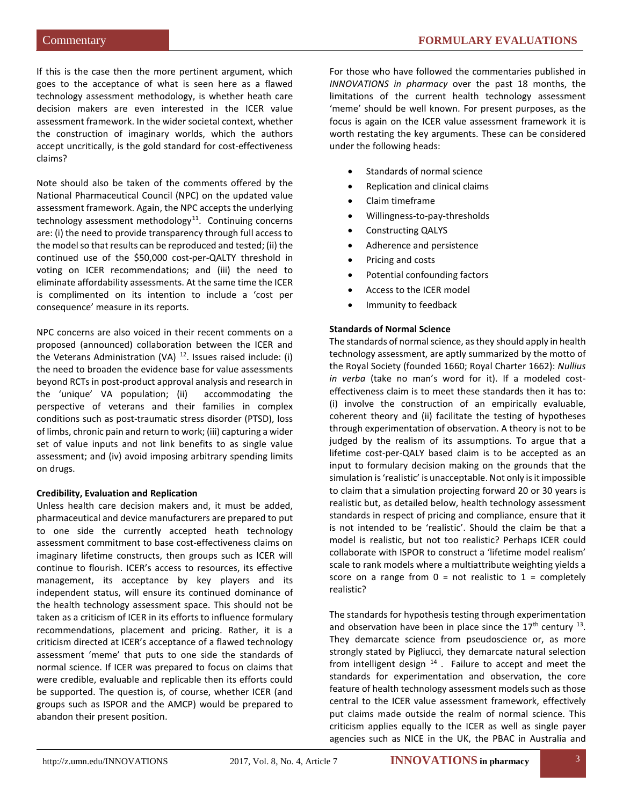If this is the case then the more pertinent argument, which goes to the acceptance of what is seen here as a flawed technology assessment methodology, is whether heath care decision makers are even interested in the ICER value assessment framework. In the wider societal context, whether the construction of imaginary worlds, which the authors accept uncritically, is the gold standard for cost-effectiveness claims?

Note should also be taken of the comments offered by the National Pharmaceutical Council (NPC) on the updated value assessment framework. Again, the NPC accepts the underlying technology assessment methodology<sup>[11](#page-11-10)</sup>. Continuing concerns are: (i) the need to provide transparency through full access to the model so that results can be reproduced and tested; (ii) the continued use of the \$50,000 cost-per-QALTY threshold in voting on ICER recommendations; and (iii) the need to eliminate affordability assessments. At the same time the ICER is complimented on its intention to include a 'cost per consequence' measure in its reports.

NPC concerns are also voiced in their recent comments on a proposed (announced) collaboration between the ICER and the Veterans Administration (VA)  $12$ . Issues raised include: (i) the need to broaden the evidence base for value assessments beyond RCTs in post-product approval analysis and research in the 'unique' VA population; (ii) accommodating the perspective of veterans and their families in complex conditions such as post-traumatic stress disorder (PTSD), loss of limbs, chronic pain and return to work; (iii) capturing a wider set of value inputs and not link benefits to as single value assessment; and (iv) avoid imposing arbitrary spending limits on drugs.

#### **Credibility, Evaluation and Replication**

Unless health care decision makers and, it must be added, pharmaceutical and device manufacturers are prepared to put to one side the currently accepted heath technology assessment commitment to base cost-effectiveness claims on imaginary lifetime constructs, then groups such as ICER will continue to flourish. ICER's access to resources, its effective management, its acceptance by key players and its independent status, will ensure its continued dominance of the health technology assessment space. This should not be taken as a criticism of ICER in its efforts to influence formulary recommendations, placement and pricing. Rather, it is a criticism directed at ICER's acceptance of a flawed technology assessment 'meme' that puts to one side the standards of normal science. If ICER was prepared to focus on claims that were credible, evaluable and replicable then its efforts could be supported. The question is, of course, whether ICER (and groups such as ISPOR and the AMCP) would be prepared to abandon their present position.

For those who have followed the commentaries published in *INNOVATIONS in pharmacy* over the past 18 months, the limitations of the current health technology assessment 'meme' should be well known. For present purposes, as the focus is again on the ICER value assessment framework it is worth restating the key arguments. These can be considered under the following heads:

- Standards of normal science
- Replication and clinical claims
- Claim timeframe
- Willingness-to-pay-thresholds
- Constructing QALYS
- Adherence and persistence
- Pricing and costs
- Potential confounding factors
- Access to the ICER model
- Immunity to feedback

#### **Standards of Normal Science**

The standards of normal science, as they should apply in health technology assessment, are aptly summarized by the motto of the Royal Society (founded 1660; Royal Charter 1662): *Nullius in verba* (take no man's word for it). If a modeled costeffectiveness claim is to meet these standards then it has to: (i) involve the construction of an empirically evaluable, coherent theory and (ii) facilitate the testing of hypotheses through experimentation of observation. A theory is not to be judged by the realism of its assumptions. To argue that a lifetime cost-per-QALY based claim is to be accepted as an input to formulary decision making on the grounds that the simulation is 'realistic' is unacceptable. Not only is it impossible to claim that a simulation projecting forward 20 or 30 years is realistic but, as detailed below, health technology assessment standards in respect of pricing and compliance, ensure that it is not intended to be 'realistic'. Should the claim be that a model is realistic, but not too realistic? Perhaps ICER could collaborate with ISPOR to construct a 'lifetime model realism' scale to rank models where a multiattribute weighting yields a score on a range from  $0 =$  not realistic to  $1 =$  completely realistic?

The standards for hypothesis testing through experimentation and observation have been in place since the  $17<sup>th</sup>$  century  $^{13}$  $^{13}$  $^{13}$ . They demarcate science from pseudoscience or, as more strongly stated by Pigliucci, they demarcate natural selection from intelligent design  $14$ . Failure to accept and meet the standards for experimentation and observation, the core feature of health technology assessment models such as those central to the ICER value assessment framework, effectively put claims made outside the realm of normal science. This criticism applies equally to the ICER as well as single payer agencies such as NICE in the UK, the PBAC in Australia and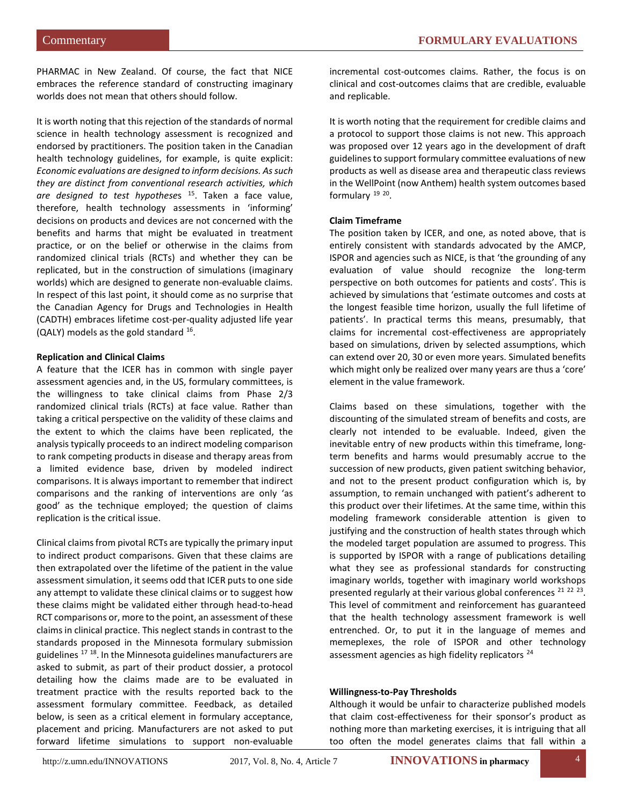PHARMAC in New Zealand. Of course, the fact that NICE embraces the reference standard of constructing imaginary worlds does not mean that others should follow.

It is worth noting that this rejection of the standards of normal science in health technology assessment is recognized and endorsed by practitioners. The position taken in the Canadian health technology guidelines, for example, is quite explicit: *Economic evaluations are designed to inform decisions. As such they are distinct from conventional research activities, which are designed to test hypothese*s [15](#page-11-14). Taken a face value, therefore, health technology assessments in 'informing' decisions on products and devices are not concerned with the benefits and harms that might be evaluated in treatment practice, or on the belief or otherwise in the claims from randomized clinical trials (RCTs) and whether they can be replicated, but in the construction of simulations (imaginary worlds) which are designed to generate non-evaluable claims. In respect of this last point, it should come as no surprise that the Canadian Agency for Drugs and Technologies in Health (CADTH) embraces lifetime cost-per-quality adjusted life year (QALY) models as the gold standard [16.](#page-11-15)

#### **Replication and Clinical Claims**

A feature that the ICER has in common with single payer assessment agencies and, in the US, formulary committees, is the willingness to take clinical claims from Phase 2/3 randomized clinical trials (RCTs) at face value. Rather than taking a critical perspective on the validity of these claims and the extent to which the claims have been replicated, the analysis typically proceeds to an indirect modeling comparison to rank competing products in disease and therapy areas from a limited evidence base, driven by modeled indirect comparisons. It is always important to remember that indirect comparisons and the ranking of interventions are only 'as good' as the technique employed; the question of claims replication is the critical issue.

Clinical claims from pivotal RCTs are typically the primary input to indirect product comparisons. Given that these claims are then extrapolated over the lifetime of the patient in the value assessment simulation, it seems odd that ICER puts to one side any attempt to validate these clinical claims or to suggest how these claims might be validated either through head-to-head RCT comparisons or, more to the point, an assessment of these claims in clinical practice. This neglect stands in contrast to the standards proposed in the Minnesota formulary submission guidelines <sup>[17](#page-11-16) 18</sup>. In the Minnesota guidelines manufacturers are asked to submit, as part of their product dossier, a protocol detailing how the claims made are to be evaluated in treatment practice with the results reported back to the assessment formulary committee. Feedback, as detailed below, is seen as a critical element in formulary acceptance, placement and pricing. Manufacturers are not asked to put forward lifetime simulations to support non-evaluable incremental cost-outcomes claims. Rather, the focus is on clinical and cost-outcomes claims that are credible, evaluable and replicable.

It is worth noting that the requirement for credible claims and a protocol to support those claims is not new. This approach was proposed over 12 years ago in the development of draft guidelines to support formulary committee evaluations of new products as well as disease area and therapeutic class reviews in the WellPoint (now Anthem) health system outcomes based formulary <sup>[19](#page-11-18) 20</sup>.

#### **Claim Timeframe**

The position taken by ICER, and one, as noted above, that is entirely consistent with standards advocated by the AMCP, ISPOR and agencies such as NICE, is that 'the grounding of any evaluation of value should recognize the long-term perspective on both outcomes for patients and costs'. This is achieved by simulations that 'estimate outcomes and costs at the longest feasible time horizon, usually the full lifetime of patients'. In practical terms this means, presumably, that claims for incremental cost-effectiveness are appropriately based on simulations, driven by selected assumptions, which can extend over 20, 30 or even more years. Simulated benefits which might only be realized over many years are thus a 'core' element in the value framework.

Claims based on these simulations, together with the discounting of the simulated stream of benefits and costs, are clearly not intended to be evaluable. Indeed, given the inevitable entry of new products within this timeframe, longterm benefits and harms would presumably accrue to the succession of new products, given patient switching behavior, and not to the present product configuration which is, by assumption, to remain unchanged with patient's adherent to this product over their lifetimes. At the same time, within this modeling framework considerable attention is given to justifying and the construction of health states through which the modeled target population are assumed to progress. This is supported by ISPOR with a range of publications detailing what they see as professional standards for constructing imaginary worlds, together with imaginary world workshops presented regularly at their various global conferences<sup>[21](#page-11-2) [22](#page-11-3)</sup><sup>[23](#page-11-4)</sup>. This level of commitment and reinforcement has guaranteed that the health technology assessment framework is well entrenched. Or, to put it in the language of memes and memeplexes, the role of ISPOR and other technology assessment agencies as high fidelity replicators<sup>[24](#page-11-5)</sup>

#### **Willingness-to-Pay Thresholds**

Although it would be unfair to characterize published models that claim cost-effectiveness for their sponsor's product as nothing more than marketing exercises, it is intriguing that all too often the model generates claims that fall within a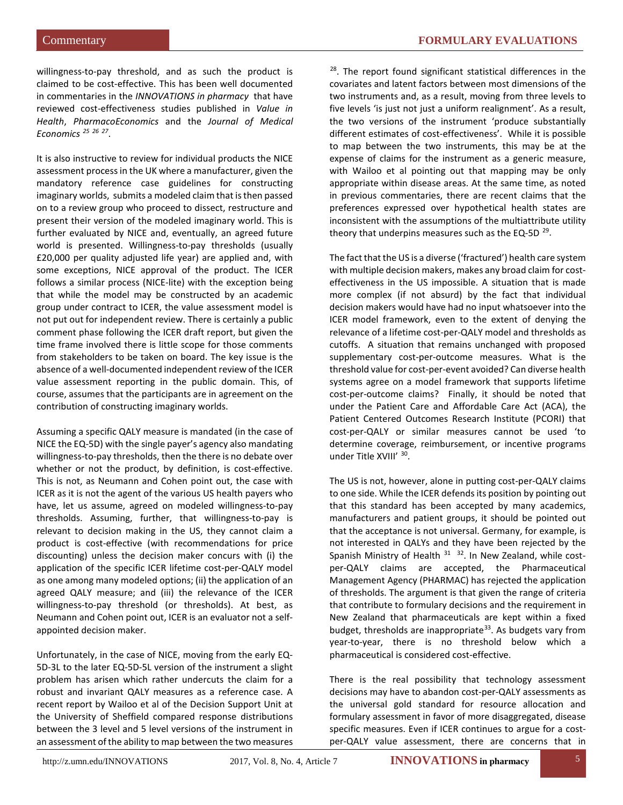willingness-to-pay threshold, and as such the product is claimed to be cost-effective. This has been well documented in commentaries in the *INNOVATIONS in pharmacy* that have reviewed cost-effectiveness studies published in *Value in Health*, *PharmacoEconomics* and the *Journal of Medical Economics [25](#page-11-19) [26](#page-11-20) [27](#page-11-21)*.

It is also instructive to review for individual products the NICE assessment process in the UK where a manufacturer, given the mandatory reference case guidelines for constructing imaginary worlds, submits a modeled claim that is then passed on to a review group who proceed to dissect, restructure and present their version of the modeled imaginary world. This is further evaluated by NICE and, eventually, an agreed future world is presented. Willingness-to-pay thresholds (usually £20,000 per quality adjusted life year) are applied and, with some exceptions, NICE approval of the product. The ICER follows a similar process (NICE-lite) with the exception being that while the model may be constructed by an academic group under contract to ICER, the value assessment model is not put out for independent review. There is certainly a public comment phase following the ICER draft report, but given the time frame involved there is little scope for those comments from stakeholders to be taken on board. The key issue is the absence of a well-documented independent review of the ICER value assessment reporting in the public domain. This, of course, assumes that the participants are in agreement on the contribution of constructing imaginary worlds.

Assuming a specific QALY measure is mandated (in the case of NICE the EQ-5D) with the single payer's agency also mandating willingness-to-pay thresholds, then the there is no debate over whether or not the product, by definition, is cost-effective. This is not, as Neumann and Cohen point out, the case with ICER as it is not the agent of the various US health payers who have, let us assume, agreed on modeled willingness-to-pay thresholds. Assuming, further, that willingness-to-pay is relevant to decision making in the US, they cannot claim a product is cost-effective (with recommendations for price discounting) unless the decision maker concurs with (i) the application of the specific ICER lifetime cost-per-QALY model as one among many modeled options; (ii) the application of an agreed QALY measure; and (iii) the relevance of the ICER willingness-to-pay threshold (or thresholds). At best, as Neumann and Cohen point out, ICER is an evaluator not a selfappointed decision maker.

Unfortunately, in the case of NICE, moving from the early EQ-5D-3L to the later EQ-5D-5L version of the instrument a slight problem has arisen which rather undercuts the claim for a robust and invariant QALY measures as a reference case. A recent report by Wailoo et al of the Decision Support Unit at the University of Sheffield compared response distributions between the 3 level and 5 level versions of the instrument in an assessment of the ability to map between the two measures

<sup>28</sup>. The report found significant statistical differences in the covariates and latent factors between most dimensions of the two instruments and, as a result, moving from three levels to five levels 'is just not just a uniform realignment'. As a result, the two versions of the instrument 'produce substantially different estimates of cost-effectiveness'. While it is possible to map between the two instruments, this may be at the expense of claims for the instrument as a generic measure, with Wailoo et al pointing out that mapping may be only appropriate within disease areas. At the same time, as noted in previous commentaries, there are recent claims that the preferences expressed over hypothetical health states are inconsistent with the assumptions of the multiattribute utility theory that underpins measures such as the EQ-5D  $^{29}$ .

The fact that the US is a diverse ('fractured') health care system with multiple decision makers, makes any broad claim for costeffectiveness in the US impossible. A situation that is made more complex (if not absurd) by the fact that individual decision makers would have had no input whatsoever into the ICER model framework, even to the extent of denying the relevance of a lifetime cost-per-QALY model and thresholds as cutoffs. A situation that remains unchanged with proposed supplementary cost-per-outcome measures. What is the threshold value for cost-per-event avoided? Can diverse health systems agree on a model framework that supports lifetime cost-per-outcome claims? Finally, it should be noted that under the Patient Care and Affordable Care Act (ACA), the Patient Centered Outcomes Research Institute (PCORI) that cost-per-QALY or similar measures cannot be used 'to determine coverage, reimbursement, or incentive programs under Title XVIII' [30.](#page-11-11)

The US is not, however, alone in putting cost-per-QALY claims to one side. While the ICER defends its position by pointing out that this standard has been accepted by many academics, manufacturers and patient groups, it should be pointed out that the acceptance is not universal. Germany, for example, is not interested in QALYs and they have been rejected by the Spanish Ministry of Health  $31 - 32$  $31 - 32$ . In New Zealand, while costper-QALY claims are accepted, the Pharmaceutical Management Agency (PHARMAC) has rejected the application of thresholds. The argument is that given the range of criteria that contribute to formulary decisions and the requirement in New Zealand that pharmaceuticals are kept within a fixed budget, thresholds are inappropriate<sup>33</sup>. As budgets vary from year-to-year, there is no threshold below which a pharmaceutical is considered cost-effective.

There is the real possibility that technology assessment decisions may have to abandon cost-per-QALY assessments as the universal gold standard for resource allocation and formulary assessment in favor of more disaggregated, disease specific measures. Even if ICER continues to argue for a costper-QALY value assessment, there are concerns that in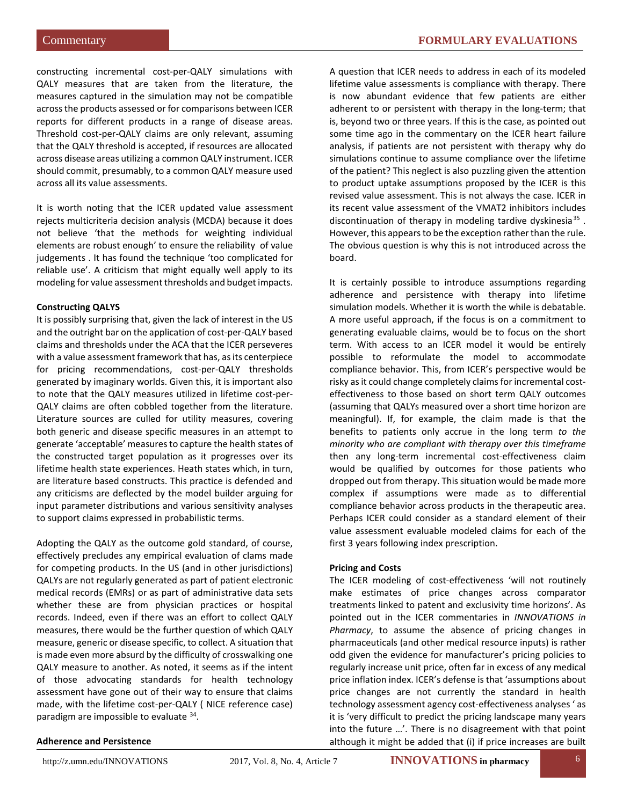constructing incremental cost-per-QALY simulations with QALY measures that are taken from the literature, the measures captured in the simulation may not be compatible across the products assessed or for comparisons between ICER reports for different products in a range of disease areas. Threshold cost-per-QALY claims are only relevant, assuming that the QALY threshold is accepted, if resources are allocated across disease areas utilizing a common QALY instrument. ICER should commit, presumably, to a common QALY measure used across all its value assessments.

It is worth noting that the ICER updated value assessment rejects multicriteria decision analysis (MCDA) because it does not believe 'that the methods for weighting individual elements are robust enough' to ensure the reliability of value judgements . It has found the technique 'too complicated for reliable use'. A criticism that might equally well apply to its modeling for value assessment thresholds and budget impacts.

#### **Constructing QALYS**

It is possibly surprising that, given the lack of interest in the US and the outright bar on the application of cost-per-QALY based claims and thresholds under the ACA that the ICER perseveres with a value assessment framework that has, as its centerpiece for pricing recommendations, cost-per-QALY thresholds generated by imaginary worlds. Given this, it is important also to note that the QALY measures utilized in lifetime cost-per-QALY claims are often cobbled together from the literature. Literature sources are culled for utility measures, covering both generic and disease specific measures in an attempt to generate 'acceptable' measures to capture the health states of the constructed target population as it progresses over its lifetime health state experiences. Heath states which, in turn, are literature based constructs. This practice is defended and any criticisms are deflected by the model builder arguing for input parameter distributions and various sensitivity analyses to support claims expressed in probabilistic terms.

Adopting the QALY as the outcome gold standard, of course, effectively precludes any empirical evaluation of clams made for competing products. In the US (and in other jurisdictions) QALYs are not regularly generated as part of patient electronic medical records (EMRs) or as part of administrative data sets whether these are from physician practices or hospital records. Indeed, even if there was an effort to collect QALY measures, there would be the further question of which QALY measure, generic or disease specific, to collect. A situation that is made even more absurd by the difficulty of crosswalking one QALY measure to another. As noted, it seems as if the intent of those advocating standards for health technology assessment have gone out of their way to ensure that claims made, with the lifetime cost-per-QALY ( NICE reference case) paradigm are impossible to evaluate [34](#page-11-25).

A question that ICER needs to address in each of its modeled lifetime value assessments is compliance with therapy. There is now abundant evidence that few patients are either adherent to or persistent with therapy in the long-term; that is, beyond two or three years. If this is the case, as pointed out some time ago in the commentary on the ICER heart failure analysis, if patients are not persistent with therapy why do simulations continue to assume compliance over the lifetime of the patient? This neglect is also puzzling given the attention to product uptake assumptions proposed by the ICER is this revised value assessment. This is not always the case. ICER in its recent value assessment of the VMAT2 inhibitors includes discontinuation of therapy in modeling tardive dyskinesia $35$ . However, this appears to be the exception rather than the rule. The obvious question is why this is not introduced across the board.

It is certainly possible to introduce assumptions regarding adherence and persistence with therapy into lifetime simulation models. Whether it is worth the while is debatable. A more useful approach, if the focus is on a commitment to generating evaluable claims, would be to focus on the short term. With access to an ICER model it would be entirely possible to reformulate the model to accommodate compliance behavior. This, from ICER's perspective would be risky as it could change completely claims for incremental costeffectiveness to those based on short term QALY outcomes (assuming that QALYs measured over a short time horizon are meaningful). If, for example, the claim made is that the benefits to patients only accrue in the long term *to the minority who are compliant with therapy over this timeframe* then any long-term incremental cost-effectiveness claim would be qualified by outcomes for those patients who dropped out from therapy. This situation would be made more complex if assumptions were made as to differential compliance behavior across products in the therapeutic area. Perhaps ICER could consider as a standard element of their value assessment evaluable modeled claims for each of the first 3 years following index prescription.

#### **Pricing and Costs**

The ICER modeling of cost-effectiveness 'will not routinely make estimates of price changes across comparator treatments linked to patent and exclusivity time horizons'. As pointed out in the ICER commentaries in *INNOVATIONS in Pharmacy*, to assume the absence of pricing changes in pharmaceuticals (and other medical resource inputs) is rather odd given the evidence for manufacturer's pricing policies to regularly increase unit price, often far in excess of any medical price inflation index. ICER's defense is that 'assumptions about price changes are not currently the standard in health technology assessment agency cost-effectiveness analyses ' as it is 'very difficult to predict the pricing landscape many years into the future …'. There is no disagreement with that point although it might be added that (i) if price increases are built

#### **Adherence and Persistence**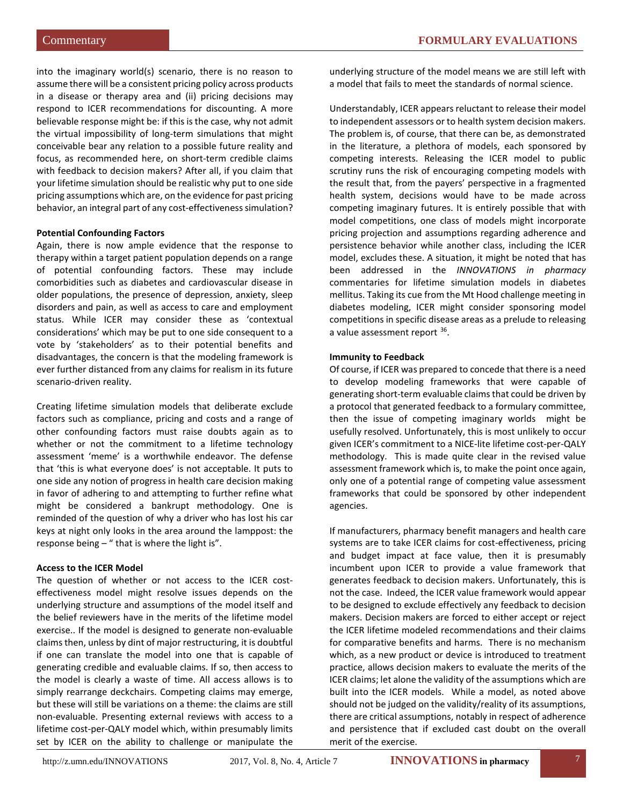into the imaginary world(s) scenario, there is no reason to assume there will be a consistent pricing policy across products in a disease or therapy area and (ii) pricing decisions may respond to ICER recommendations for discounting. A more believable response might be: if this is the case, why not admit the virtual impossibility of long-term simulations that might conceivable bear any relation to a possible future reality and focus, as recommended here, on short-term credible claims with feedback to decision makers? After all, if you claim that your lifetime simulation should be realistic why put to one side pricing assumptions which are, on the evidence for past pricing behavior, an integral part of any cost-effectiveness simulation?

#### **Potential Confounding Factors**

Again, there is now ample evidence that the response to therapy within a target patient population depends on a range of potential confounding factors. These may include comorbidities such as diabetes and cardiovascular disease in older populations, the presence of depression, anxiety, sleep disorders and pain, as well as access to care and employment status. While ICER may consider these as 'contextual considerations' which may be put to one side consequent to a vote by 'stakeholders' as to their potential benefits and disadvantages, the concern is that the modeling framework is ever further distanced from any claims for realism in its future scenario-driven reality.

Creating lifetime simulation models that deliberate exclude factors such as compliance, pricing and costs and a range of other confounding factors must raise doubts again as to whether or not the commitment to a lifetime technology assessment 'meme' is a worthwhile endeavor. The defense that 'this is what everyone does' is not acceptable. It puts to one side any notion of progress in health care decision making in favor of adhering to and attempting to further refine what might be considered a bankrupt methodology. One is reminded of the question of why a driver who has lost his car keys at night only looks in the area around the lamppost: the response being  $-$  " that is where the light is".

#### **Access to the ICER Model**

The question of whether or not access to the ICER costeffectiveness model might resolve issues depends on the underlying structure and assumptions of the model itself and the belief reviewers have in the merits of the lifetime model exercise.. If the model is designed to generate non-evaluable claims then, unless by dint of major restructuring, it is doubtful if one can translate the model into one that is capable of generating credible and evaluable claims. If so, then access to the model is clearly a waste of time. All access allows is to simply rearrange deckchairs. Competing claims may emerge, but these will still be variations on a theme: the claims are still non-evaluable. Presenting external reviews with access to a lifetime cost-per-QALY model which, within presumably limits set by ICER on the ability to challenge or manipulate the underlying structure of the model means we are still left with a model that fails to meet the standards of normal science.

Understandably, ICER appears reluctant to release their model to independent assessors or to health system decision makers. The problem is, of course, that there can be, as demonstrated in the literature, a plethora of models, each sponsored by competing interests. Releasing the ICER model to public scrutiny runs the risk of encouraging competing models with the result that, from the payers' perspective in a fragmented health system, decisions would have to be made across competing imaginary futures. It is entirely possible that with model competitions, one class of models might incorporate pricing projection and assumptions regarding adherence and persistence behavior while another class, including the ICER model, excludes these. A situation, it might be noted that has been addressed in the *INNOVATIONS in pharmacy*  commentaries for lifetime simulation models in diabetes mellitus. Taking its cue from the Mt Hood challenge meeting in diabetes modeling, ICER might consider sponsoring model competitions in specific disease areas as a prelude to releasing a value assessment report [36](#page-11-27).

#### **Immunity to Feedback**

Of course, if ICER was prepared to concede that there is a need to develop modeling frameworks that were capable of generating short-term evaluable claims that could be driven by a protocol that generated feedback to a formulary committee, then the issue of competing imaginary worlds might be usefully resolved. Unfortunately, this is most unlikely to occur given ICER's commitment to a NICE-lite lifetime cost-per-QALY methodology. This is made quite clear in the revised value assessment framework which is, to make the point once again, only one of a potential range of competing value assessment frameworks that could be sponsored by other independent agencies.

If manufacturers, pharmacy benefit managers and health care systems are to take ICER claims for cost-effectiveness, pricing and budget impact at face value, then it is presumably incumbent upon ICER to provide a value framework that generates feedback to decision makers. Unfortunately, this is not the case. Indeed, the ICER value framework would appear to be designed to exclude effectively any feedback to decision makers. Decision makers are forced to either accept or reject the ICER lifetime modeled recommendations and their claims for comparative benefits and harms. There is no mechanism which, as a new product or device is introduced to treatment practice, allows decision makers to evaluate the merits of the ICER claims; let alone the validity of the assumptions which are built into the ICER models. While a model, as noted above should not be judged on the validity/reality of its assumptions, there are critical assumptions, notably in respect of adherence and persistence that if excluded cast doubt on the overall merit of the exercise.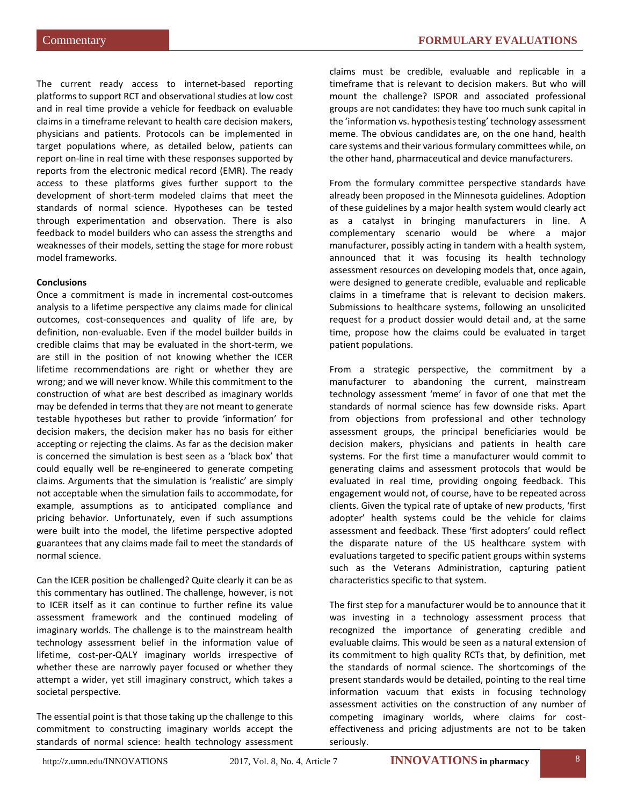The current ready access to internet-based reporting platformsto support RCT and observational studies at low cost and in real time provide a vehicle for feedback on evaluable claims in a timeframe relevant to health care decision makers, physicians and patients. Protocols can be implemented in target populations where, as detailed below, patients can report on-line in real time with these responses supported by reports from the electronic medical record (EMR). The ready access to these platforms gives further support to the development of short-term modeled claims that meet the standards of normal science. Hypotheses can be tested through experimentation and observation. There is also feedback to model builders who can assess the strengths and weaknesses of their models, setting the stage for more robust model frameworks.

#### **Conclusions**

Once a commitment is made in incremental cost-outcomes analysis to a lifetime perspective any claims made for clinical outcomes, cost-consequences and quality of life are, by definition, non-evaluable. Even if the model builder builds in credible claims that may be evaluated in the short-term, we are still in the position of not knowing whether the ICER lifetime recommendations are right or whether they are wrong; and we will never know. While this commitment to the construction of what are best described as imaginary worlds may be defended in terms that they are not meant to generate testable hypotheses but rather to provide 'information' for decision makers, the decision maker has no basis for either accepting or rejecting the claims. As far as the decision maker is concerned the simulation is best seen as a 'black box' that could equally well be re-engineered to generate competing claims. Arguments that the simulation is 'realistic' are simply not acceptable when the simulation fails to accommodate, for example, assumptions as to anticipated compliance and pricing behavior. Unfortunately, even if such assumptions were built into the model, the lifetime perspective adopted guarantees that any claims made fail to meet the standards of normal science.

Can the ICER position be challenged? Quite clearly it can be as this commentary has outlined. The challenge, however, is not to ICER itself as it can continue to further refine its value assessment framework and the continued modeling of imaginary worlds. The challenge is to the mainstream health technology assessment belief in the information value of lifetime, cost-per-QALY imaginary worlds irrespective of whether these are narrowly payer focused or whether they attempt a wider, yet still imaginary construct, which takes a societal perspective.

The essential point is that those taking up the challenge to this commitment to constructing imaginary worlds accept the standards of normal science: health technology assessment

claims must be credible, evaluable and replicable in a timeframe that is relevant to decision makers. But who will mount the challenge? ISPOR and associated professional groups are not candidates: they have too much sunk capital in the 'information vs. hypothesis testing' technology assessment meme. The obvious candidates are, on the one hand, health care systems and their various formulary committees while, on the other hand, pharmaceutical and device manufacturers.

From the formulary committee perspective standards have already been proposed in the Minnesota guidelines. Adoption of these guidelines by a major health system would clearly act as a catalyst in bringing manufacturers in line. A complementary scenario would be where a major manufacturer, possibly acting in tandem with a health system, announced that it was focusing its health technology assessment resources on developing models that, once again, were designed to generate credible, evaluable and replicable claims in a timeframe that is relevant to decision makers. Submissions to healthcare systems, following an unsolicited request for a product dossier would detail and, at the same time, propose how the claims could be evaluated in target patient populations.

From a strategic perspective, the commitment by a manufacturer to abandoning the current, mainstream technology assessment 'meme' in favor of one that met the standards of normal science has few downside risks. Apart from objections from professional and other technology assessment groups, the principal beneficiaries would be decision makers, physicians and patients in health care systems. For the first time a manufacturer would commit to generating claims and assessment protocols that would be evaluated in real time, providing ongoing feedback. This engagement would not, of course, have to be repeated across clients. Given the typical rate of uptake of new products, 'first adopter' health systems could be the vehicle for claims assessment and feedback. These 'first adopters' could reflect the disparate nature of the US healthcare system with evaluations targeted to specific patient groups within systems such as the Veterans Administration, capturing patient characteristics specific to that system.

The first step for a manufacturer would be to announce that it was investing in a technology assessment process that recognized the importance of generating credible and evaluable claims. This would be seen as a natural extension of its commitment to high quality RCTs that, by definition, met the standards of normal science. The shortcomings of the present standards would be detailed, pointing to the real time information vacuum that exists in focusing technology assessment activities on the construction of any number of competing imaginary worlds, where claims for costeffectiveness and pricing adjustments are not to be taken seriously.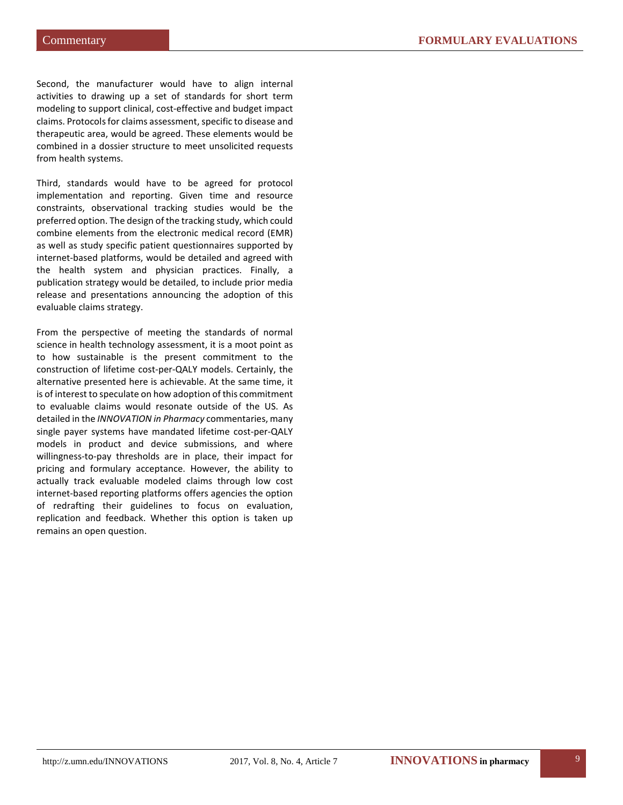Second, the manufacturer would have to align internal activities to drawing up a set of standards for short term modeling to support clinical, cost-effective and budget impact claims. Protocols for claims assessment, specific to disease and therapeutic area, would be agreed. These elements would be combined in a dossier structure to meet unsolicited requests from health systems.

Third, standards would have to be agreed for protocol implementation and reporting. Given time and resource constraints, observational tracking studies would be the preferred option. The design of the tracking study, which could combine elements from the electronic medical record (EMR) as well as study specific patient questionnaires supported by internet-based platforms, would be detailed and agreed with the health system and physician practices. Finally, a publication strategy would be detailed, to include prior media release and presentations announcing the adoption of this evaluable claims strategy.

From the perspective of meeting the standards of normal science in health technology assessment, it is a moot point as to how sustainable is the present commitment to the construction of lifetime cost-per-QALY models. Certainly, the alternative presented here is achievable. At the same time, it is of interest to speculate on how adoption of this commitment to evaluable claims would resonate outside of the US. As detailed in the *INNOVATION in Pharmacy* commentaries, many single payer systems have mandated lifetime cost-per-QALY models in product and device submissions, and where willingness-to-pay thresholds are in place, their impact for pricing and formulary acceptance. However, the ability to actually track evaluable modeled claims through low cost internet-based reporting platforms offers agencies the option of redrafting their guidelines to focus on evaluation, replication and feedback. Whether this option is taken up remains an open question.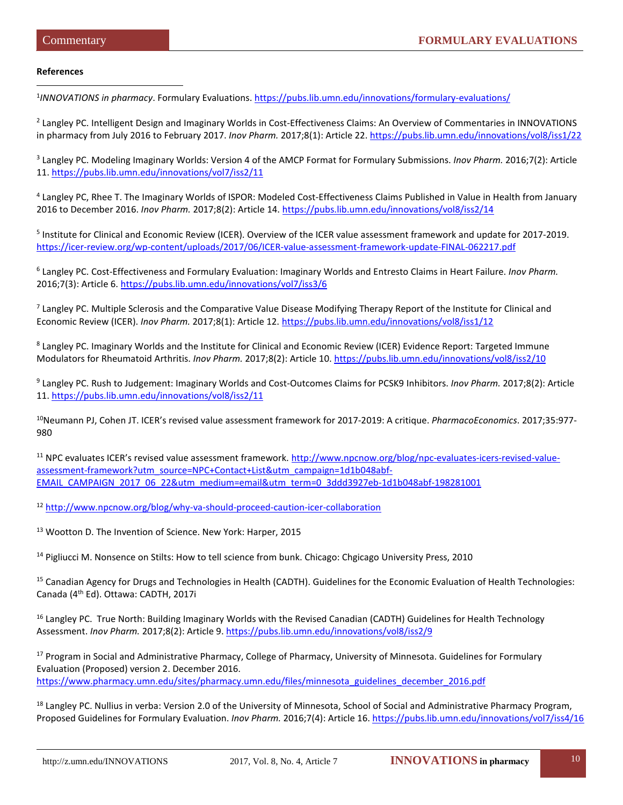#### **References**

 $\overline{a}$ 

<sup>1</sup>INNOVATIONS in pharmacy. Formulary Evaluations.<https://pubs.lib.umn.edu/innovations/formulary-evaluations/>

<sup>2</sup> Langley PC. Intelligent Design and Imaginary Worlds in Cost-Effectiveness Claims: An Overview of Commentaries in INNOVATIONS in pharmacy from July 2016 to February 2017. *Inov Pharm.* 2017;8(1): Article 22.<https://pubs.lib.umn.edu/innovations/vol8/iss1/22>

<sup>3</sup> Langley PC. Modeling Imaginary Worlds: Version 4 of the AMCP Format for Formulary Submissions. *Inov Pharm.* 2016;7(2): Article 11.<https://pubs.lib.umn.edu/innovations/vol7/iss2/11>

<sup>4</sup> Langley PC, Rhee T. The Imaginary Worlds of ISPOR: Modeled Cost-Effectiveness Claims Published in Value in Health from January 2016 to December 2016. *Inov Pharm.* 2017;8(2): Article 14[. https://pubs.lib.umn.edu/innovations/vol8/iss2/14](https://pubs.lib.umn.edu/innovations/vol8/iss2/14)

<sup>5</sup> Institute for Clinical and Economic Review (ICER). Overview of the ICER value assessment framework and update for 2017-2019. <https://icer-review.org/wp-content/uploads/2017/06/ICER-value-assessment-framework-update-FINAL-062217.pdf>

<sup>6</sup> Langley PC. Cost-Effectiveness and Formulary Evaluation: Imaginary Worlds and Entresto Claims in Heart Failure. *Inov Pharm.*  2016;7(3): Article 6[. https://pubs.lib.umn.edu/innovations/vol7/iss3/6](https://pubs.lib.umn.edu/innovations/vol7/iss3/6)

 $<sup>7</sup>$  Langley PC. Multiple Sclerosis and the Comparative Value Disease Modifying Therapy Report of the Institute for Clinical and</sup> Economic Review (ICER). *Inov Pharm.* 2017;8(1): Article 12.<https://pubs.lib.umn.edu/innovations/vol8/iss1/12>

<sup>8</sup> Langley PC. Imaginary Worlds and the Institute for Clinical and Economic Review (ICER) Evidence Report: Targeted Immune Modulators for Rheumatoid Arthritis. *Inov Pharm.* 2017;8(2): Article 10[. https://pubs.lib.umn.edu/innovations/vol8/iss2/10](https://pubs.lib.umn.edu/innovations/vol8/iss2/10)

<sup>9</sup> Langley PC. Rush to Judgement: Imaginary Worlds and Cost-Outcomes Claims for PCSK9 Inhibitors. *Inov Pharm.* 2017;8(2): Article 11.<https://pubs.lib.umn.edu/innovations/vol8/iss2/11>

<sup>10</sup>Neumann PJ, Cohen JT. ICER's revised value assessment framework for 2017-2019: A critique. *PharmacoEconomics*. 2017;35:977-980

<sup>11</sup> NPC evaluates ICER's revised value assessment framework[. http://www.npcnow.org/blog/npc-evaluates-icers-revised-value](http://www.npcnow.org/blog/npc-evaluates-icers-revised-value-assessment-framework?utm_source=NPC+Contact+List&utm_campaign=1d1b048abf-EMAIL_CAMPAIGN_2017_06_22&utm_medium=email&utm_term=0_3ddd3927eb-1d1b048abf-198281001)[assessment-framework?utm\\_source=NPC+Contact+List&utm\\_campaign=1d1b048abf-](http://www.npcnow.org/blog/npc-evaluates-icers-revised-value-assessment-framework?utm_source=NPC+Contact+List&utm_campaign=1d1b048abf-EMAIL_CAMPAIGN_2017_06_22&utm_medium=email&utm_term=0_3ddd3927eb-1d1b048abf-198281001)[EMAIL\\_CAMPAIGN\\_2017\\_06\\_22&utm\\_medium=email&utm\\_term=0\\_3ddd3927eb-1d1b048abf-198281001](http://www.npcnow.org/blog/npc-evaluates-icers-revised-value-assessment-framework?utm_source=NPC+Contact+List&utm_campaign=1d1b048abf-EMAIL_CAMPAIGN_2017_06_22&utm_medium=email&utm_term=0_3ddd3927eb-1d1b048abf-198281001)

<sup>12</sup> <http://www.npcnow.org/blog/why-va-should-proceed-caution-icer-collaboration>

<sup>13</sup> Wootton D. The Invention of Science. New York: Harper, 2015

<sup>14</sup> Pigliucci M. Nonsence on Stilts: How to tell science from bunk. Chicago: Chgicago University Press, 2010

<sup>15</sup> Canadian Agency for Drugs and Technologies in Health (CADTH). Guidelines for the Economic Evaluation of Health Technologies: Canada (4th Ed). Ottawa: CADTH, 2017i

<sup>16</sup> Langley PC. True North: Building Imaginary Worlds with the Revised Canadian (CADTH) Guidelines for Health Technology Assessment. *Inov Pharm.* 2017;8(2): Article 9[. https://pubs.lib.umn.edu/innovations/vol8/iss2/9](https://pubs.lib.umn.edu/innovations/vol8/iss2/9)

<sup>17</sup> Program in Social and Administrative Pharmacy, College of Pharmacy, University of Minnesota. Guidelines for Formulary Evaluation (Proposed) version 2. December 2016. [https://www.pharmacy.umn.edu/sites/pharmacy.umn.edu/files/minnesota\\_guidelines\\_december\\_2016.pdf](https://www.pharmacy.umn.edu/sites/pharmacy.umn.edu/files/minnesota_guidelines_december_2016.pdf)

<sup>18</sup> Langley PC. Nullius in verba: Version 2.0 of the University of Minnesota, School of Social and Administrative Pharmacy Program, Proposed Guidelines for Formulary Evaluation. *Inov Pharm.* 2016;7(4): Article 16.<https://pubs.lib.umn.edu/innovations/vol7/iss4/16>